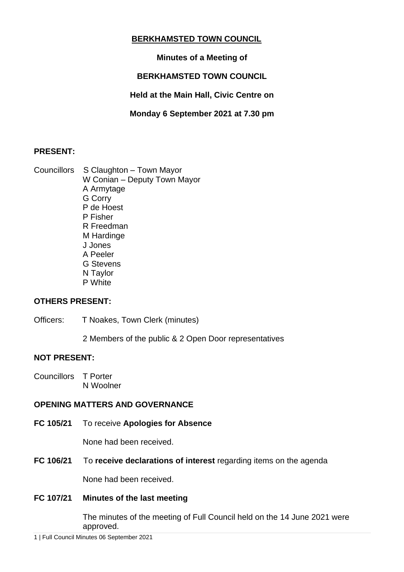# **BERKHAMSTED TOWN COUNCIL**

# **Minutes of a Meeting of**

# **BERKHAMSTED TOWN COUNCIL**

**Held at the Main Hall, Civic Centre on**

**Monday 6 September 2021 at 7.30 pm**

# **PRESENT:**

Councillors S Claughton – Town Mayor W Conian – Deputy Town Mayor A Armytage G Corry P de Hoest P Fisher R Freedman M Hardinge J Jones A Peeler G Stevens N Taylor P White

## **OTHERS PRESENT:**

Officers: T Noakes, Town Clerk (minutes)

2 Members of the public & 2 Open Door representatives

## **NOT PRESENT:**

Councillors T Porter N Woolner

## **OPENING MATTERS AND GOVERNANCE**

**FC 105/21** To receive **Apologies for Absence**

None had been received.

**FC 106/21** To **receive declarations of interest** regarding items on the agenda

None had been received.

# **FC 107/21 Minutes of the last meeting**

The minutes of the meeting of Full Council held on the 14 June 2021 were approved.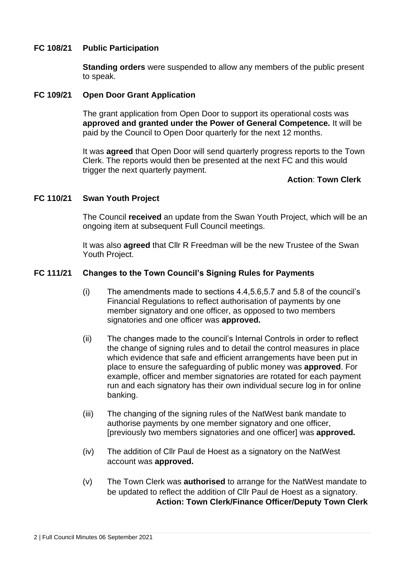## **FC 108/21 Public Participation**

**Standing orders** were suspended to allow any members of the public present to speak.

### **FC 109/21 Open Door Grant Application**

The grant application from Open Door to support its operational costs was **approved and granted under the Power of General Competence.** It will be paid by the Council to Open Door quarterly for the next 12 months.

It was **agreed** that Open Door will send quarterly progress reports to the Town Clerk. The reports would then be presented at the next FC and this would trigger the next quarterly payment.

### **Action**: **Town Clerk**

### **FC 110/21 Swan Youth Project**

The Council **received** an update from the Swan Youth Project, which will be an ongoing item at subsequent Full Council meetings.

It was also **agreed** that Cllr R Freedman will be the new Trustee of the Swan Youth Project.

#### **FC 111/21 Changes to the Town Council's Signing Rules for Payments**

- (i) The amendments made to sections 4.4,5.6,5.7 and 5.8 of the council's Financial Regulations to reflect authorisation of payments by one member signatory and one officer, as opposed to two members signatories and one officer was **approved.**
- (ii) The changes made to the council's Internal Controls in order to reflect the change of signing rules and to detail the control measures in place which evidence that safe and efficient arrangements have been put in place to ensure the safeguarding of public money was **approved**. For example, officer and member signatories are rotated for each payment run and each signatory has their own individual secure log in for online banking.
- (iii) The changing of the signing rules of the NatWest bank mandate to authorise payments by one member signatory and one officer, [previously two members signatories and one officer] was **approved.**
- (iv) The addition of Cllr Paul de Hoest as a signatory on the NatWest account was **approved.**
- (v) The Town Clerk was **authorised** to arrange for the NatWest mandate to be updated to reflect the addition of Cllr Paul de Hoest as a signatory. **Action: Town Clerk/Finance Officer/Deputy Town Clerk**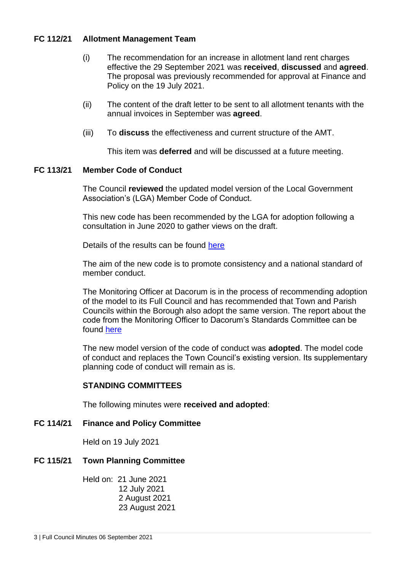## **FC 112/21 Allotment Management Team**

- (i) The recommendation for an increase in allotment land rent charges effective the 29 September 2021 was **received**, **discussed** and **agreed**. The proposal was previously recommended for approval at Finance and Policy on the 19 July 2021.
- (ii) The content of the draft letter to be sent to all allotment tenants with the annual invoices in September was **agreed**.
- (iii) To **discuss** the effectiveness and current structure of the AMT.

This item was **deferred** and will be discussed at a future meeting.

### **FC 113/21 Member Code of Conduct**

The Council **reviewed** the updated model version of the Local Government Association's (LGA) Member Code of Conduct.

This new code has been recommended by the LGA for adoption following a consultation in June 2020 to gather views on the draft.

Details of the results can be found [here](https://www.local.gov.uk/publications/lga-model-member-code-conduct-consultation-response-analysis-november-2020)

The aim of the new code is to promote consistency and a national standard of member conduct.

The Monitoring Officer at Dacorum is in the process of recommending adoption of the model to its Full Council and has recommended that Town and Parish Councils within the Borough also adopt the same version. The report about the code from the Monitoring Officer to Dacorum's Standards Committee can be found [here](https://democracy.dacorum.gov.uk/documents/s27978/Standards%20Agenda%202021%20V2%20March.pdf)

The new model version of the code of conduct was **adopted**. The model code of conduct and replaces the Town Council's existing version. Its supplementary planning code of conduct will remain as is.

#### **STANDING COMMITTEES**

The following minutes were **received and adopted**:

#### **FC 114/21 Finance and Policy Committee**

Held on 19 July 2021

#### **FC 115/21 Town Planning Committee**

Held on: 21 June 2021 12 July 2021 2 August 2021 23 August 2021